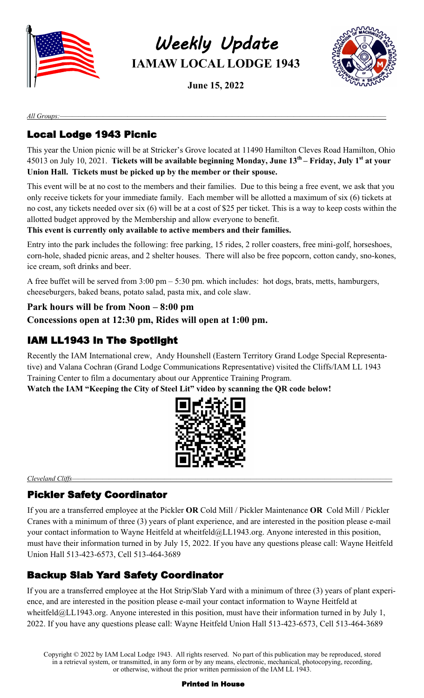

*Weekly Update*  **IAMAW LOCAL LODGE 1943**

**June 15, 2022**



*All Groups:—————————————————————————————————————————————————————*

# Local Lodge 1943 Picnic

This year the Union picnic will be at Stricker's Grove located at 11490 Hamilton Cleves Road Hamilton, Ohio 45013 on July 10, 2021. **Tickets will be available beginning Monday, June 13th – Friday, July 1st at your Union Hall. Tickets must be picked up by the member or their spouse.**

This event will be at no cost to the members and their families. Due to this being a free event, we ask that you only receive tickets for your immediate family. Each member will be allotted a maximum of six (6) tickets at no cost, any tickets needed over six (6) will be at a cost of \$25 per ticket. This is a way to keep costs within the allotted budget approved by the Membership and allow everyone to benefit.

#### **This event is currently only available to active members and their families.**

Entry into the park includes the following: free parking, 15 rides, 2 roller coasters, free mini-golf, horseshoes, corn-hole, shaded picnic areas, and 2 shelter houses. There will also be free popcorn, cotton candy, sno-kones, ice cream, soft drinks and beer.

A free buffet will be served from 3:00 pm – 5:30 pm. which includes: hot dogs, brats, metts, hamburgers, cheeseburgers, baked beans, potato salad, pasta mix, and cole slaw.

#### **Park hours will be from Noon – 8:00 pm**

**Concessions open at 12:30 pm, Rides will open at 1:00 pm.**

## IAM LL1943 In The Spotlight

Recently the IAM International crew, Andy Hounshell (Eastern Territory Grand Lodge Special Representative) and Valana Cochran (Grand Lodge Communications Representative) visited the Cliffs/IAM LL 1943 Training Center to film a documentary about our Apprentice Training Program.

**Watch the IAM "Keeping the City of Steel Lit" video by scanning the QR code below!**



Cleveland Cliffs-

### Pickler Safety Coordinator

If you are a transferred employee at the Pickler **OR** Cold Mill / Pickler Maintenance **OR** Cold Mill / Pickler Cranes with a minimum of three (3) years of plant experience, and are interested in the position please e-mail your contact information to Wayne Heitfeld at wheitfeld@LL1943.org. Anyone interested in this position, must have their information turned in by July 15, 2022. If you have any questions please call: Wayne Heitfeld Union Hall 513-423-6573, Cell 513-464-3689

## Backup Slab Yard Safety Coordinator

If you are a transferred employee at the Hot Strip/Slab Yard with a minimum of three (3) years of plant experience, and are interested in the position please e-mail your contact information to Wayne Heitfeld at wheitfeld@LL1943.org. Anyone interested in this position, must have their information turned in by July 1, 2022. If you have any questions please call: Wayne Heitfeld Union Hall 513-423-6573, Cell 513-464-3689

Copyright © 2022 by IAM Local Lodge 1943. All rights reserved. No part of this publication may be reproduced, stored in a retrieval system, or transmitted, in any form or by any means, electronic, mechanical, photocopying, recording, or otherwise, without the prior written permission of the IAM LL 1943.